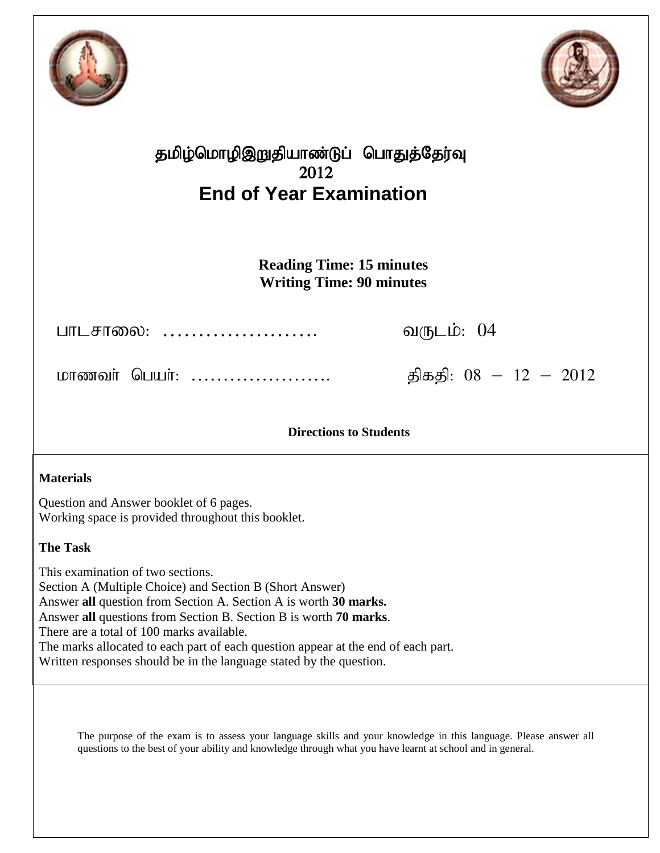



## தமிழ்மொழிஇறுதியாண்டுப் பொதுத்தேர்வு 2012 **End of Year Examination**

**Reading Time: 15 minutes Writing Time: 90 minutes**

ghlrhiy: …………………. tUlk;: 04

khzth; ngah;: …………………. jpfjp: 08 – 12 – 2012

**Directions to Students**

### **Materials**

Question and Answer booklet of 6 pages. Working space is provided throughout this booklet.

### **The Task**

This examination of two sections. Section A (Multiple Choice) and Section B (Short Answer) Answer **all** question from Section A. Section A is worth **30 marks.** Answer **all** questions from Section B. Section B is worth **70 marks**. There are a total of 100 marks available. The marks allocated to each part of each question appear at the end of each part. Written responses should be in the language stated by the question.

The purpose of the exam is to assess your language skills and your knowledge in this language. Please answer all questions to the best of your ability and knowledge through what you have learnt at school and in general.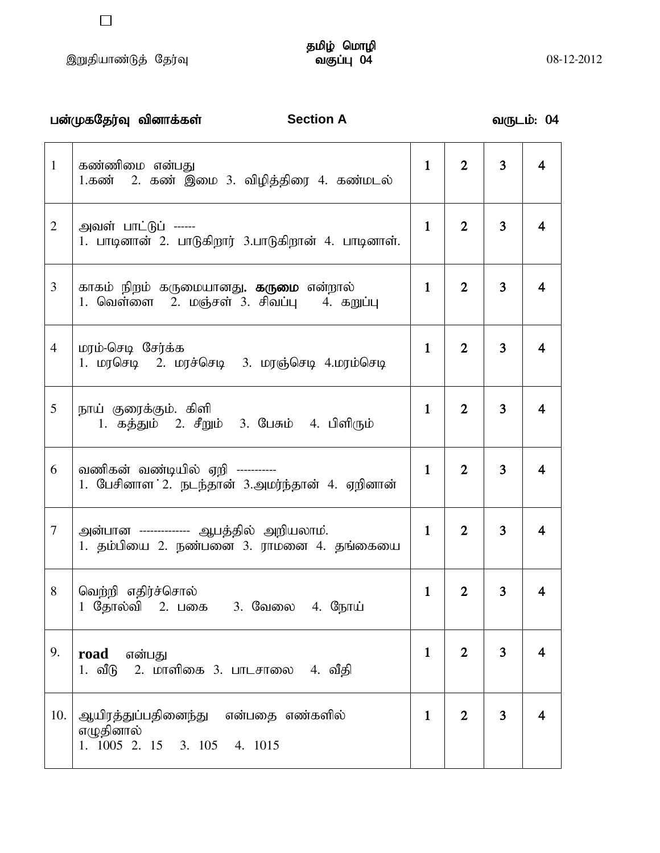# தமிழ் மொழி<br>வகுப்பு 04

|                | பன்முகதேர்வு வினாக்கள்<br><b>Section A</b>                                                      |              |                |                | வருடம்: 04              |
|----------------|-------------------------------------------------------------------------------------------------|--------------|----------------|----------------|-------------------------|
| $\mathbf{1}$   | கண்ணிமை என்பது<br>1.கண் – 2. கண் இமை 3. விழித்திரை 4. கண்மடல்                                   | $\mathbf{1}$ | $\overline{2}$ | $\overline{3}$ | $\overline{\mathbf{4}}$ |
| $\overline{2}$ | அவள் பாட்டுப் ------<br>1. பாடினான் 2. பாடுகிறார் 3.பாடுகிறான் 4. பாடினாள்.                     | $\mathbf{1}$ | $\overline{2}$ | 3              | 4                       |
| 3              | காகம் நிறம் கருமையானது <b>. கருமை</b> என்றால்<br>1. வெள்ளை   2. மஞ்சள் 3. சிவப்பு<br>4. கறுப்பு | $\mathbf{1}$ | $\overline{2}$ | 3 <sup>1</sup> | $\overline{\mathbf{4}}$ |
| $\overline{4}$ | மரம்-செடி சேர்க்க<br>1. மரசெடி – 2. மரச்செடி – 3. மரஞ்செடி 4.மரம்செடி                           | $\mathbf{1}$ | $\overline{2}$ | 3 <sup>1</sup> | 4                       |
| 5              | நாய் குரைக்கும். கிளி<br>1. கத்தும் 2. சீறும் 3. பேசும் 4. பிளிரும்                             | $\mathbf{1}$ | $\overline{2}$ | $\overline{3}$ | 4                       |
| 6              | வணிகன் வண்டியில் ஏறி -----------<br>1. பேசினாள 2. நடந்தான் 3.அமர்ந்தான் 4. ஏறினான்              | $\mathbf{1}$ | $\overline{2}$ | 3 <sup>1</sup> | 4                       |
| 7              | அன்பான ------------- ஆபத்தில் அறியலாம்.<br>1. தம்பியை 2. நண்பனை 3. ராமனை 4. தங்கையை             | $\mathbf{1}$ | $\overline{2}$ | $\overline{3}$ | $\overline{4}$          |
| 8              | வெற்றி எதிர்ச்சொல்<br>தோல்வி 2. பகை - 3. வேலை<br>4. நோய்                                        | $\mathbf 1$  | 2              | 3              | 4                       |
| 9.             | road என்பது<br>2. மாளிகை 3. பாடசாலை 4. வீதி<br>1. வீடு                                          | $\mathbf{1}$ | $\overline{2}$ | $\overline{3}$ | 4                       |
| 10.            | ஆயிரத்துப்பதினைந்து என்பதை எண்களில்<br>எழுதினால்<br>1. 1005 2. 15 3. 105 4. 1015                | $\mathbf{1}$ | $\overline{2}$ | $\overline{3}$ | 4                       |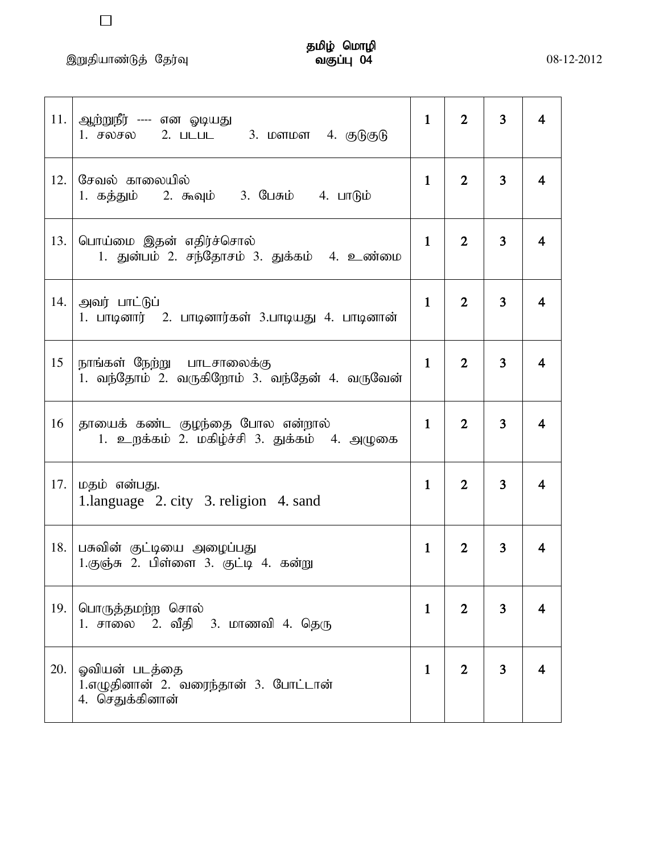| 11.  | ஆற்றுநீர் ---- என ஓடியது<br>1. சலசல 2. படபட 3. மளமள 4. குடுகுடு                | $\mathbf{1}$ | $\overline{2}$ | 3              | 4 |
|------|--------------------------------------------------------------------------------|--------------|----------------|----------------|---|
| 12.1 | சேவல் காலையில்<br>1. கத்தும் 2. கூவும் 3. பேசும் 4. பாடும்                     | $\mathbf{1}$ | $\overline{2}$ | $\overline{3}$ | 4 |
|      | 13. பொய்மை இதன் எதிர்ச்சொல்<br>1. துன்பம் 2. சந்தோசம் 3. துக்கம் 4. உண்மை      | $\mathbf{1}$ | $\overline{2}$ | $\overline{3}$ | 4 |
| 14.  | அவர் பாட்டுப்<br>1. பாடினார் 2. பாடினார்கள் 3.பாடியது 4. பாடினான்              | $\mathbf{1}$ | $\overline{2}$ | 3              | 4 |
| 15   | நாங்கள் நேற்று  பாடசாலைக்கு<br>1. வந்தோம் 2. வருகிறோம் 3. வந்தேன் 4. வருவேன்   | $\mathbf{1}$ | $\overline{2}$ | 3              | 4 |
| 16   | தாயைக் கண்ட குழந்தை போல என்றால்<br>1. உறக்கம் 2. மகிழ்ச்சி 3. துக்கம் 4. அழுகை | $\mathbf{1}$ | $\overline{2}$ | 3              | 4 |
| 17.  | மதம் என்பது.<br>1.language 2. city 3. religion 4. sand                         | $\mathbf{1}$ | $\overline{2}$ | $\overline{3}$ | 4 |
| 18.  | பசுவின் குட்டியை அழைப்பது<br>1.குஞ்சு 2. பிள்ளை 3. குட்டி 4. கன்று             | $\mathbf{1}$ | $\overline{2}$ | 3              | 4 |
| 19.  | பொருத்தமற்ற சொல்<br>1. சாலை 2. வீதி 3. மாணவி 4. தெரு                           | $\mathbf{1}$ | $\overline{2}$ | 3              | 4 |
| 20.  | ஓவியன் படத்தை<br>1.எழுதினான் 2. வரைந்தான் 3. போட்டான்<br>4. செதுக்கினான்       | $\mathbf{1}$ | $\overline{2}$ | 3              | 4 |

 $\Box$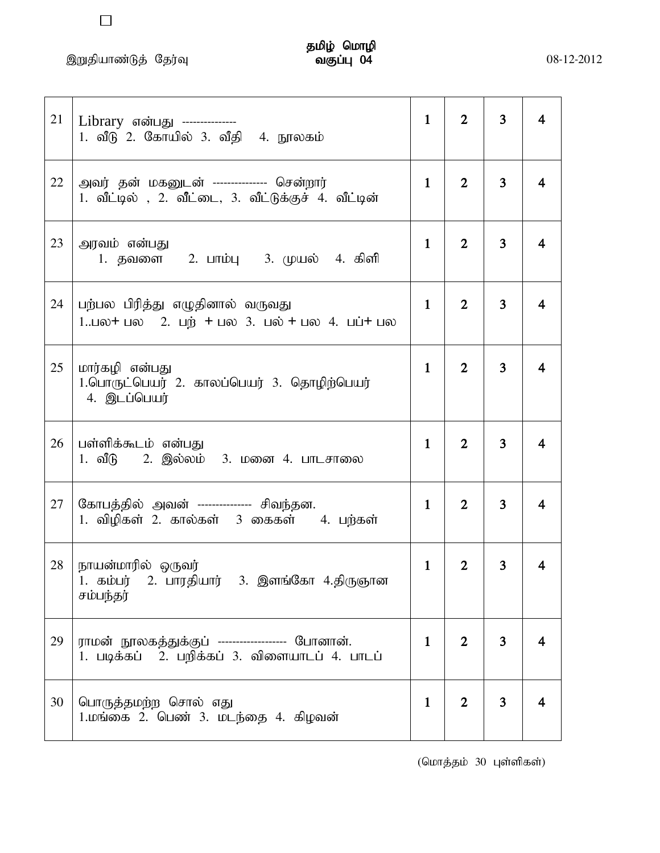$\Box$ 

| 21 | Library என்பது ---------------<br>1. வீடு 2. கோயில் 3. வீதி 4. நூலகம்                                                                                          | $\mathbf{1}$ | $\mathbf{2}$   | 3              | 4                       |
|----|----------------------------------------------------------------------------------------------------------------------------------------------------------------|--------------|----------------|----------------|-------------------------|
| 22 | அவர் தன் மகனுடன் -------------- சென்றார்<br>1. வீட்டில் , 2. வீட்டை, 3. வீட்டுக்குச் 4. வீட்டின்                                                               | $\mathbf{1}$ | $\overline{2}$ | $\overline{3}$ | 4                       |
| 23 | அரவம் என்பது<br>1. தவளை 2. பாம்பு 3. முயல் 4. கிளி                                                                                                             | $\mathbf{1}$ | $\overline{2}$ | $\overline{3}$ | 4                       |
| 24 | பற்பல பிரித்து எழுதினால் வருவது<br>1 $\Box$ o + $\Box$ $\Box$ 2. $\Box$ + $\Box$ $\Diamond$ 3. $\Box$ o + $\Box$ $\Diamond$ 4. $\Box$ $\Box$ $\Box$ $\Diamond$ | $\mathbf{1}$ | $\overline{2}$ | 3              | $\overline{\mathbf{4}}$ |
| 25 | மார்கழி என்பது<br>1.பொருட்பெயர் 2. காலப்பெயர் 3. தொழிற்பெயர்<br>4. இடப்பெயர்                                                                                   | $\mathbf{1}$ | $\overline{2}$ | 3              | 4                       |
| 26 | பள்ளிக்கூடம் என்பது<br>1. வீடு – 2. இல்லம் – 3. மனை 4. பாடசாலை                                                                                                 | $\mathbf{1}$ | $\overline{2}$ | 3              | 4                       |
| 27 | கோபத்தில் அவன் -------------- சிவந்தன.<br>1. விழிகள் 2. கால்கள் 3 கைகள் 4. பற்கள்                                                                              | $\mathbf{1}$ | $\overline{2}$ | 3              | 4                       |
| 28 | நாயன்மாரில் ஒருவர்<br>1. கம்பர் 2. பாரதியார் 3. இளங்கோ 4.திருஞான<br>சம்பந்தர்                                                                                  | $\mathbf{1}$ | $\overline{2}$ | 3              | 4                       |
| 29 | ராமன் நூலகத்துக்குப் ------------------ போனான்.<br>1. படிக்கப் 2. பறிக்கப் 3. விளையாடப் 4. பாடப்                                                               | $\mathbf{1}$ | $\overline{2}$ | $\overline{3}$ | 4                       |
| 30 | பொருத்தமற்ற சொல் எது<br>1.மங்கை 2. பெண் 3. மடந்தை 4. கிழவன்                                                                                                    | $\mathbf{1}$ | $\overline{2}$ | $\overline{3}$ | 4                       |

 $($ மொத்தம் 30 புள்ளிகள் $)$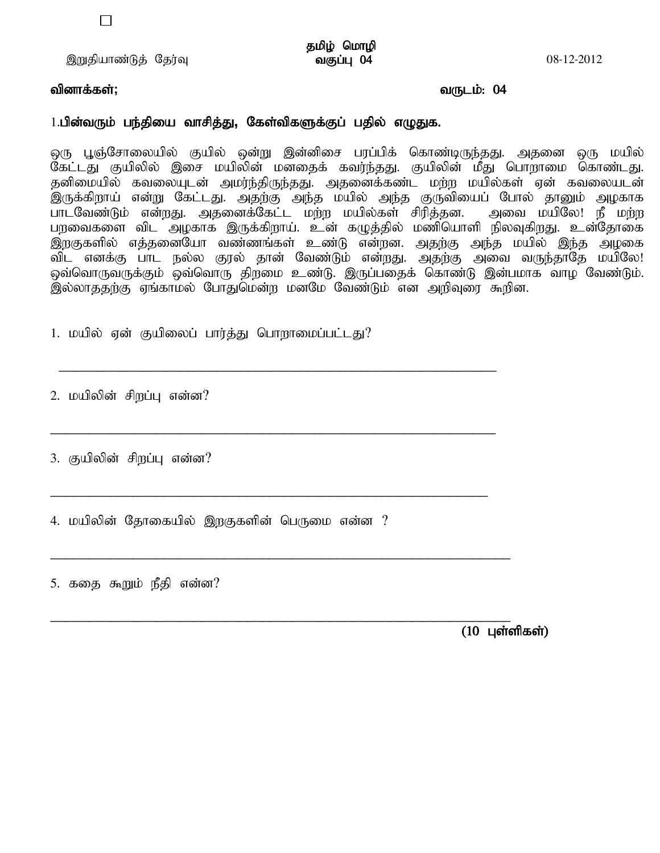தமிழ் மொழி<br>வகுப்பு 04

### tpdhf;fs ;**;** tUlk;: 04

### 1.பின்வரும் பந்தியை வாசித்து, கேள்விகளுக்குப் பதில் எழுதுக.

ஒரு பூஞ்சோலையில் குயில் ஒன்று இன்னிசை பரப்பிக் கொண்டிருந்தது. அதனை ஒரு மயில் ு<br>கேட்டது குயிலில் இசை மயிலின் மனதைக் கவர்ந்தது. குயிலின் மீது பொறாமை கொண்டது. தனிமையில் கவலையுடன் அமர்ந்திருந்தது. அதனைக்கண்ட மற்ற மயில்கள் ஏன் கவலையடன் .<br>இருக்கிறாய் என்று கேட்டது. அதற்கு அந்த மயில் அந்த குருவியைப் போல் தானும் அழகாக ghlNtz;Lk; vd;wJ. mjidf;Nfl ;l kw;w kapy;fs; rpupj;jd. mit kapNy! eP kw;w பறவைகளை விட அழகாக இருக்கிறாய். உன் கழுத்தில் மணியொளி நிலவுகிறது. உன்தோகை இறகுகளில் எத்தனையோ வண்ணங்கள் உண்டு என்றன. அதற்கு அந்த மயில் இந்த அழகை விட எனக்கு பாட நல்ல குரல் தான் வேண்டும் என்றது. அதற்கு அவை வருந்தாதே மயிலே! ஒவ்வொருவருக்கும் ஒவ்வொரு திறமை உண்டு. இருப்பதைக் கொண்டு இன்பமாக வாழ வேண்டும். .<br>இல்லாததற்கு ஏங்காமல் போதுமென்ற மனமே வேண்டும் என அறிவுரை கூறின.

1. மயில் ஏன் குயிலைப் பார்த்து பொறாமைப்பட்டது?

\_\_\_\_\_\_\_\_\_\_\_\_\_\_\_\_\_\_\_\_\_\_\_\_\_\_\_\_\_\_\_\_\_\_\_\_\_\_\_\_\_\_\_\_\_\_\_\_\_\_\_\_\_\_\_\_\_\_

\_\_\_\_\_\_\_\_\_\_\_\_\_\_\_\_\_\_\_\_\_\_\_\_\_\_\_\_\_\_\_\_\_\_\_\_\_\_\_\_\_\_\_\_\_\_\_\_\_\_\_\_\_\_\_\_\_\_\_

\_\_\_\_\_\_\_\_\_\_\_\_\_\_\_\_\_\_\_\_\_\_\_\_\_\_\_\_\_\_\_\_\_\_\_\_\_\_\_\_\_\_\_\_\_\_\_\_\_\_\_\_\_\_\_\_\_\_

\_\_\_\_\_\_\_\_\_\_\_\_\_\_\_\_\_\_\_\_\_\_\_\_\_\_\_\_\_\_\_\_\_\_\_\_\_\_\_\_\_\_\_\_\_\_\_\_\_\_\_\_\_\_\_\_\_\_\_\_\_

\_\_\_\_\_\_\_\_\_\_\_\_\_\_\_\_\_\_\_\_\_\_\_\_\_\_\_\_\_\_\_\_\_\_\_\_\_\_\_\_\_\_\_\_\_\_\_\_\_\_\_\_\_\_\_\_\_\_\_\_\_

2. மயிலின் சிறப்பு என்ன?

3. குயிலின் சிறப்பு என்ன?

4. மயிலின் தோகையில் இறகுகளின் பெருமை என்ன ?

5. கதை கூறும் நீதி என்ன?

 $(10 \;$  Цள்ளிகள்)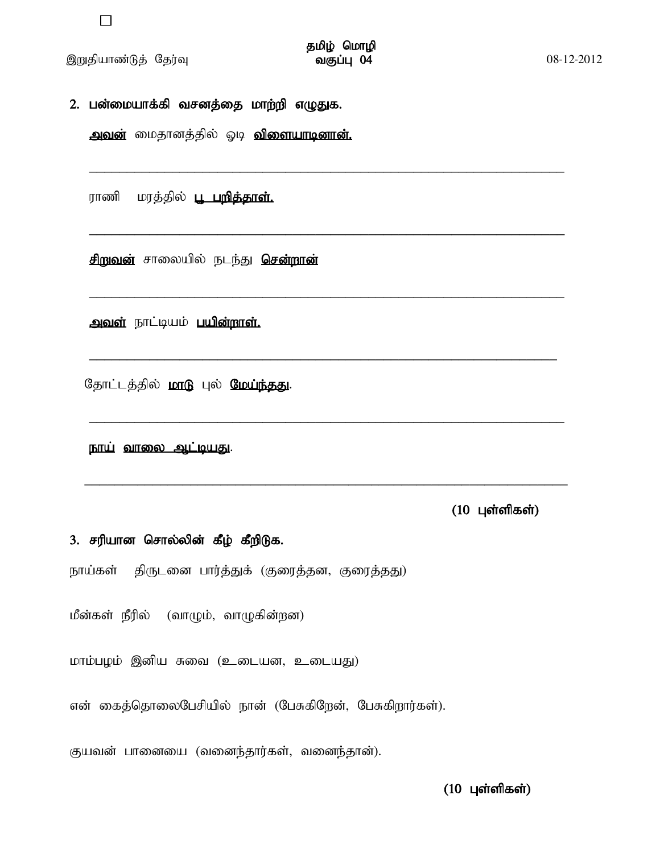இறுதியாண்டுத் தேர்வு

2. பன்மையாக்கி வசனத்தை மாற்றி எழுதுக.

அவன் மைதானத்தில் ஓடி விளையாடினான்.

ராணி மரத்தில் <u>பூ பறி**த்தாள்.**</u>

சிறுவன் சாலையில் நடந்து சென்றான்

அவள் நாட்டியம் பயின்றாள்.

தோட்டத்தில் மாடு புல் மேய்ந்தது.

<u>நாய் வாலை ஆட்டியது.</u>

 $(10 \text{ L}$ ள்ளிகள்)

### 3. சரியான சொல்லின் கீழ் கீறிடுக.

நாய்கள் திருடனை பார்த்துக் (குரைத்தன, குரைத்தது)

மீன்கள் நீரில் (வாழும், வாழுகின்றன)

மாம்பழம் இனிய சுவை (உடையன, உடையது)

என் கைத்தொலைபேசியில் நான் (பேசுகிறேன், பேசுகிறார்கள்).

குயவன் பானையை (வனைந்தார்கள், வனைந்தான்).

 $(10 \text{ L}$ ள்ளிகள்)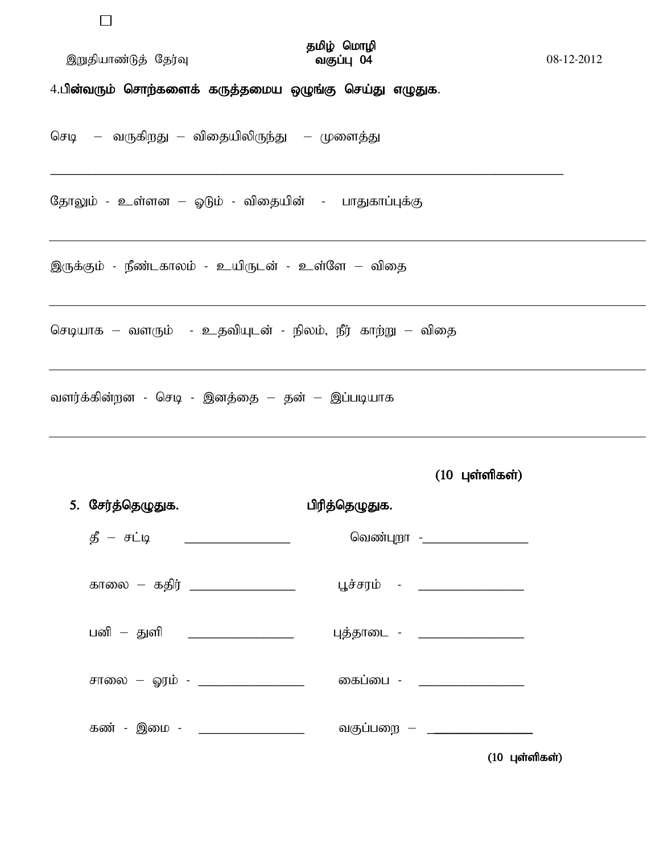$\Box$ 

இறுதியாண்டுத் தேர்வு

### தமிழ் மொழி வகுப்பு 04

08-12-2012

4.பின்வரும் சொற்களைக் கருத்தமைய ஒழுங்கு செய்து எழுதுக.

செடி – வருகிறது – விதையிலிருந்து – முளைத்து

தோலும் - உள்ளன – ஓடும் - விதையின் - பாதுகாப்புக்கு

இருக்கும் - நீண்டகாலம் - உயிருடன் - உள்ளே – விதை

செடியாக – வளரும் - உதவியுடன் - நிலம், நீர் காற்று – விதை

வளர்க்கின்றன - செடி - இனத்தை – தன் – இப்படியாக

 $(10 \text{ L}$ ள்ளிகள்)

| 5். சேர்த்தெழுதுக.                    | பிரித்தெழுதுக.                |
|---------------------------------------|-------------------------------|
| $\mathfrak{G}$ – சட்டி ______________ | வெண்புறா -__________________  |
| காலை — கதிர் ___________________      | பூச்சரம் - _______________    |
| பனி – துளி   __________________       | புத்தாடை - __________________ |
| சாலை – ஓரம் - ________________        | கைப்பை - __________           |
| கண் - இமை - <b>________________</b> _ | வகுப்பறை — __________         |
|                                       | $(10 \text{ L}$ ள்ளிகள்)      |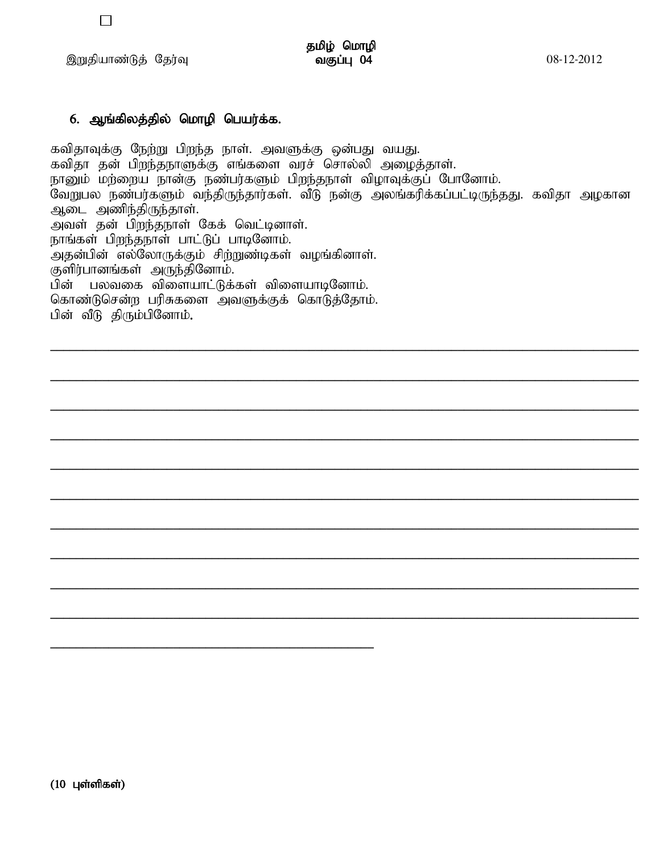இறுதியாண்டுத் தேர்வு

### 6. ஆங்கிலத்தில் மொழி பெயர்க்க.

கவிதாவுக்கு நேற்று பிறந்த நாள். அவளுக்கு ஒன்பது வயது. கவிதா தன் பிறந்தநாளுக்கு எங்களை வரச் சொல்லி அழைத்தாள். நானும் மற்றைய நான்கு நண்பர்களும் பிறந்தநாள் விழாவுக்குப் போனோம். .<br>வேறுபல நண்பர்களும் வந்திருந்தார்கள். வீடு நன்கு அலங்கரிக்கப்பட்டிருந்தது. கவிதா அழகான ஆடை அணிந்திருந்தாள். அவள் தன் பிறந்தநாள் கேக் வெட்டினாள். நாங்கள் பிறந்தநாள் பாட்டுப் பாடினோம். பின் பலவகை விளையாட்டுக்கள் விளையாடினோம். கொண்டுசென்ற பரிசுகளை அவளுக்குக் கொடுத்தோம். பின் வீடு திரும்பினோம்.